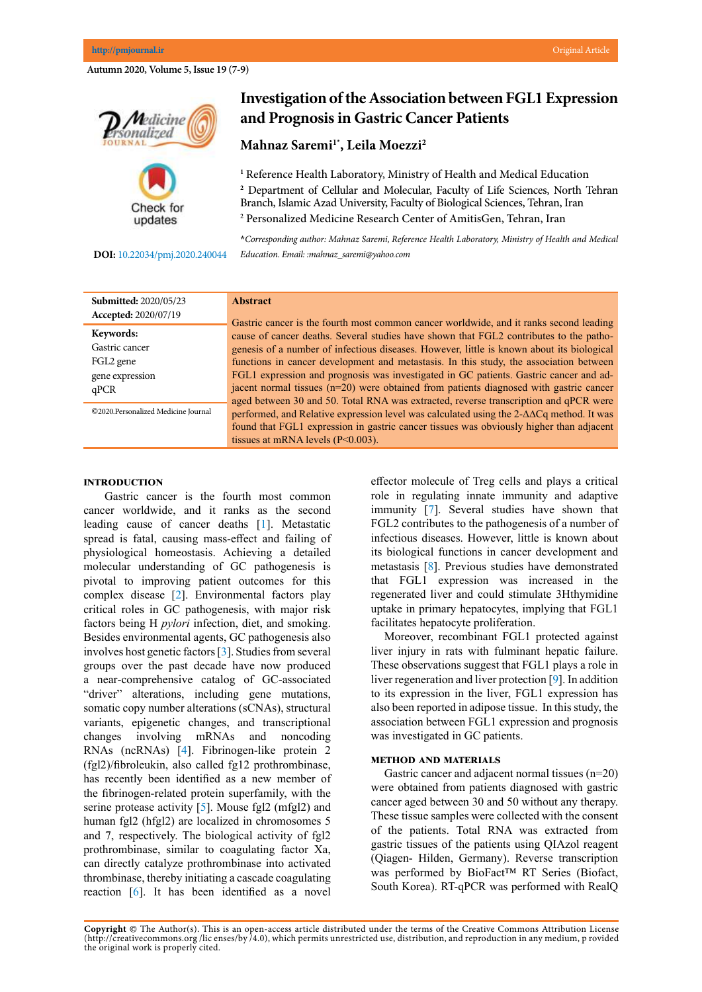**Autumn 2020, Volume 5, Issue 19 (7-9)**



#### **DOI:**[10.22034/pmj.2020.240044](http://10.22034/pmj.2020.240044)

# **Investigation of the Association between FGL1 Expression and Prognosis in Gastric Cancer Patients**

# **Mahnaz Saremi1\*, Leila Moezzi2**

**1** Reference Health Laboratory, Ministry of Health and Medical Education <sup>2</sup> Department of Cellular and Molecular, Faculty of Life Sciences, North Tehran Branch, Islamic Azad University, Faculty of Biological Sciences, Tehran, Iran 2 Personalized Medicine Research Center of AmitisGen, Tehran, Iran

**\****Corresponding author: Mahnaz Saremi, Reference Health Laboratory, Ministry of Health and Medical Education. Email: :mahnaz\_saremi@yahoo.com*

| <b>Submitted: 2020/05/23</b>        | <b>Abstract</b>                                                                                                                                                                                                                                                                         |
|-------------------------------------|-----------------------------------------------------------------------------------------------------------------------------------------------------------------------------------------------------------------------------------------------------------------------------------------|
| Accepted: 2020/07/19                | Gastric cancer is the fourth most common cancer worldwide, and it ranks second leading                                                                                                                                                                                                  |
| Keywords:                           | cause of cancer deaths. Several studies have shown that FGL2 contributes to the patho-                                                                                                                                                                                                  |
| Gastric cancer                      | genesis of a number of infectious diseases. However, little is known about its biological                                                                                                                                                                                               |
| FGL2 gene                           | functions in cancer development and metastasis. In this study, the association between                                                                                                                                                                                                  |
| gene expression                     | FGL1 expression and prognosis was investigated in GC patients. Gastric cancer and ad-                                                                                                                                                                                                   |
| qPCR                                | jacent normal tissues $(n=20)$ were obtained from patients diagnosed with gastric cancer                                                                                                                                                                                                |
| ©2020.Personalized Medicine Journal | aged between 30 and 50. Total RNA was extracted, reverse transcription and qPCR were<br>performed, and Relative expression level was calculated using the $2-\Delta\Delta Cq$ method. It was<br>found that FGL1 expression in gastric cancer tissues was obviously higher than adjacent |
|                                     | tissues at mRNA levels $(P<0.003)$ .                                                                                                                                                                                                                                                    |

### **Introduction**

 Gastric cancer is the fourth most common cancer worldwide, and it ranks as the second leading cause of cancer deaths [\[1](#page-1-0)]. Metastatic spread is fatal, causing mass-effect and failing of physiological homeostasis. Achieving a detailed molecular understanding of GC pathogenesis is pivotal to improving patient outcomes for this complex disease [[2\]](#page-1-0). Environmental factors play critical roles in GC pathogenesis, with major risk factors being H *pylori* infection, diet, and smoking. Besides environmental agents, GC pathogenesis also involves host genetic factors [[3\]](#page-1-0). Studies from several groups over the past decade have now produced a near-comprehensive catalog of GC-associated "driver" alterations, including gene mutations, somatic copy number alterations (sCNAs), structural variants, epigenetic changes, and transcriptional changes involving mRNAs and noncoding RNAs (ncRNAs) [[4\]](#page-1-0). Fibrinogen-like protein 2 (fgl2)/fibroleukin, also called fg12 prothrombinase, has recently been identified as a new member of the fibrinogen-related protein superfamily, with the serine protease activity [[5\]](#page-2-0). Mouse fgl2 (mfgl2) and human fgl2 (hfgl2) are localized in chromosomes 5 and 7, respectively. The biological activity of fgl2 prothrombinase, similar to coagulating factor Xa, can directly catalyze prothrombinase into activated thrombinase, thereby initiating a cascade coagulating reaction [[6](#page-2-0)]. It has been identified as a novel effector molecule of Treg cells and plays a critical role in regulating innate immunity and adaptive immunity [\[7](#page-2-0)]. Several studies have shown that FGL2 contributes to the pathogenesis of a number of infectious diseases. However, little is known about its biological functions in cancer development and metastasis [[8\]](#page-2-0). Previous studies have demonstrated that FGL1 expression was increased in the regenerated liver and could stimulate 3Hthymidine uptake in primary hepatocytes, implying that FGL1 facilitates hepatocyte proliferation.

Moreover, recombinant FGL1 protected against liver injury in rats with fulminant hepatic failure. These observations suggest that FGL1 plays a role in liver regeneration and liver protection [[9\]](#page-2-0). In addition to its expression in the liver, FGL1 expression has also been reported in adipose tissue. In this study, the association between FGL1 expression and prognosis was investigated in GC patients.

#### **Method and materials**

Gastric cancer and adjacent normal tissues (n=20) were obtained from patients diagnosed with gastric cancer aged between 30 and 50 without any therapy. These tissue samples were collected with the consent of the patients. Total RNA was extracted from gastric tissues of the patients using QIAzol reagent (Qiagen- [Hilden](https://en.wikipedia.org/wiki/Hilden), [Germany](https://en.wikipedia.org/wiki/Germany)). Reverse transcription was performed by BioFact™ RT Series (Biofact, South Korea). RT-qPCR was performed with RealQ

**Copyright ©** The Author(s). This is an open-access article distributed under the terms of the Creative Commons Attribution License (http://creativecommons.org /lic enses/by /4.0), which permits unrestricted use, distribution, and reproduction in any medium, p rovided the original work is properly cited.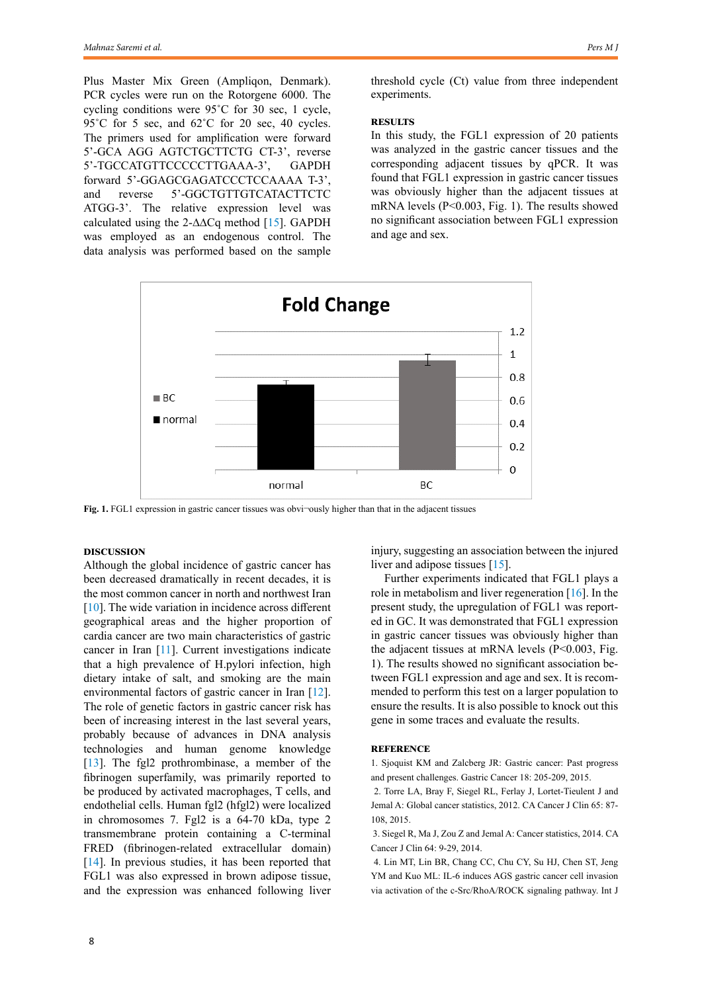<span id="page-1-0"></span>Plus Master Mix Green (Ampliqon, Denmark). PCR cycles were run on the Rotorgene 6000. The cycling conditions were 95˚C for 30 sec, 1 cycle, 95°C for 5 sec, and 62°C for 20 sec, 40 cycles. The primers used for amplification were forward 5'-GCA AGG AGTCTGCTTCTG CT-3', reverse 5'-TGCCATGTTCCCCCTTGAAA-3', GAPDH forward 5'-GGAGCGAGATCCCTCCAAAA T-3', and reverse 5'-GGCTGTTGTCATACTTCTC ATGG-3'. The relative expression level was calculated using the 2-∆∆Cq method [[15](#page-2-0)]. GAPDH was employed as an endogenous control. The data analysis was performed based on the sample

threshold cycle (Ct) value from three independent experiments.

## **Results**

In this study, the FGL1 expression of 20 patients was analyzed in the gastric cancer tissues and the corresponding adjacent tissues by qPCR. It was found that FGL1 expression in gastric cancer tissues was obviously higher than the adjacent tissues at mRNA levels (P<0.003, Fig. 1). The results showed no significant association between FGL1 expression and age and sex.



Fig. 1. FGL1 expression in gastric cancer tissues was obvi-ously higher than that in the adjacent tissues

#### **Discussion**

Although the global incidence of gastric cancer has been decreased dramatically in recent decades, it is the most common cancer in north and northwest Iran [\[10](#page-2-0)]. The wide variation in incidence across different geographical areas and the higher proportion of cardia cancer are two main characteristics of gastric cancer in Iran [[11](#page-2-0)]. Current investigations indicate that a high prevalence of H.pylori infection, high dietary intake of salt, and smoking are the main environmental factors of gastric cancer in Iran [[12\]](#page-2-0). The role of genetic factors in gastric cancer risk has been of increasing interest in the last several years, probably because of advances in DNA analysis technologies and human genome knowledge [\[13](#page-2-0)]. The fgl2 prothrombinase, a member of the fibrinogen superfamily, was primarily reported to be produced by activated macrophages, T cells, and endothelial cells. Human fgl2 (hfgl2) were localized in chromosomes 7. Fgl2 is a 64-70 kDa, type 2 transmembrane protein containing a C-terminal FRED (fibrinogen-related extracellular domain) [\[14](#page-2-0)]. In previous studies, it has been reported that FGL1 was also expressed in brown adipose tissue, and the expression was enhanced following liver injury, suggesting an association between the injured liver and adipose tissues [[15\]](#page-2-0).

Further experiments indicated that FGL1 plays a role in metabolism and liver regeneration [[16\]](#page-2-0). In the present study, the upregulation of FGL1 was reported in GC. It was demonstrated that FGL1 expression in gastric cancer tissues was obviously higher than the adjacent tissues at mRNA levels (P<0.003, Fig. 1). The results showed no significant association between FGL1 expression and age and sex. It is recommended to perform this test on a larger population to ensure the results. It is also possible to knock out this gene in some traces and evaluate the results.

#### **Reference**

1. Sjoquist KM and Zalcberg JR: Gastric cancer: Past progress and present challenges. Gastric Cancer 18: 205-209, 2015.

 2. Torre LA, Bray F, Siegel RL, Ferlay J, Lortet-Tieulent J and Jemal A: Global cancer statistics, 2012. CA Cancer J Clin 65: 87- 108, 2015.

 3. Siegel R, Ma J, Zou Z and Jemal A: Cancer statistics, 2014. CA Cancer J Clin 64: 9-29, 2014.

 4. Lin MT, Lin BR, Chang CC, Chu CY, Su HJ, Chen ST, Jeng YM and Kuo ML: IL-6 induces AGS gastric cancer cell invasion via activation of the c-Src/RhoA/ROCK signaling pathway. Int J